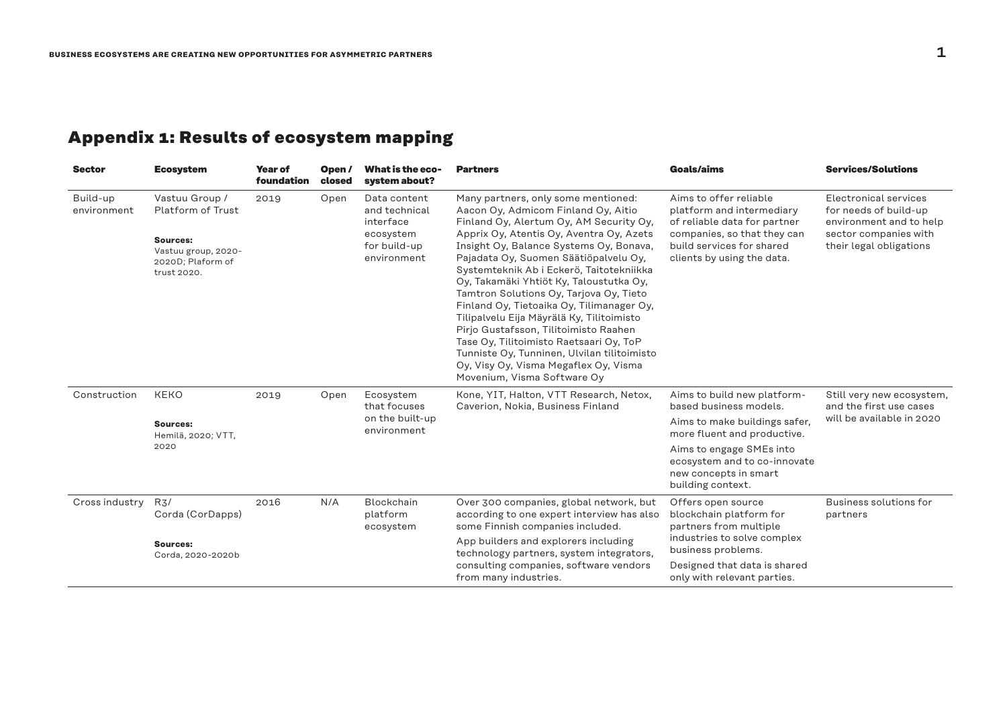## **Appendix 1: Results of ecosystem mapping**

| <b>Sector</b>           | <b>Ecosystem</b>                                                                                           | <b>Year of</b><br>foundation | Open/<br>closed | What is the eco-<br>system about?                                                      | <b>Partners</b>                                                                                                                                                                                                                                                                                                                                                                                                                                                                                                                                                                                                                                                                              | <b>Goals/aims</b>                                                                                                                                                                                                               | <b>Services/Solutions</b>                                                                                                     |
|-------------------------|------------------------------------------------------------------------------------------------------------|------------------------------|-----------------|----------------------------------------------------------------------------------------|----------------------------------------------------------------------------------------------------------------------------------------------------------------------------------------------------------------------------------------------------------------------------------------------------------------------------------------------------------------------------------------------------------------------------------------------------------------------------------------------------------------------------------------------------------------------------------------------------------------------------------------------------------------------------------------------|---------------------------------------------------------------------------------------------------------------------------------------------------------------------------------------------------------------------------------|-------------------------------------------------------------------------------------------------------------------------------|
| Build-up<br>environment | Vastuu Group /<br>Platform of Trust<br>Sources:<br>Vastuu group, 2020-<br>2020D; Plaform of<br>trust 2020. | 2019                         | Open            | Data content<br>and technical<br>interface<br>ecosystem<br>for build-up<br>environment | Many partners, only some mentioned:<br>Aacon Oy, Admicom Finland Oy, Aitio<br>Finland Oy, Alertum Oy, AM Security Oy,<br>Apprix Oy, Atentis Oy, Aventra Oy, Azets<br>Insight Oy, Balance Systems Oy, Bonava,<br>Pajadata Oy, Suomen Säätiöpalvelu Oy,<br>Systemteknik Ab i Eckerö, Taitotekniikka<br>Oy, Takamäki Yhtiöt Ky, Taloustutka Oy,<br>Tamtron Solutions Oy, Tarjova Oy, Tieto<br>Finland Oy, Tietoaika Oy, Tilimanager Oy,<br>Tilipalvelu Eija Mäyrälä Ky, Tilitoimisto<br>Pirjo Gustafsson, Tilitoimisto Raahen<br>Tase Oy, Tilitoimisto Raetsaari Oy, ToP<br>Tunniste Oy, Tunninen, Ulvilan tilitoimisto<br>Oy, Visy Oy, Visma Megaflex Oy, Visma<br>Movenium, Visma Software Oy | Aims to offer reliable<br>platform and intermediary<br>of reliable data for partner<br>companies, so that they can<br>build services for shared<br>clients by using the data.                                                   | Electronical services<br>for needs of build-up<br>environment and to help<br>sector companies with<br>their legal obligations |
| Construction            | <b>KEKO</b><br>Sources:<br>Hemilä, 2020; VTT,<br>2020                                                      | 2019                         | Open            | Ecosystem<br>that focuses<br>on the built-up<br>environment                            | Kone, YIT, Halton, VTT Research, Netox,<br>Caverion, Nokia, Business Finland                                                                                                                                                                                                                                                                                                                                                                                                                                                                                                                                                                                                                 | Aims to build new platform-<br>based business models.<br>Aims to make buildings safer,<br>more fluent and productive.<br>Aims to engage SMEs into<br>ecosystem and to co-innovate<br>new concepts in smart<br>building context. | Still very new ecosystem,<br>and the first use cases<br>will be available in 2020                                             |
| Cross industry          | R3/<br>Corda (CorDapps)<br>Sources:<br>Corda, 2020-2020b                                                   | 2016                         | N/A             | Blockchain<br>platform<br>ecosystem                                                    | Over 300 companies, global network, but<br>according to one expert interview has also<br>some Finnish companies included.<br>App builders and explorers including<br>technology partners, system integrators,<br>consulting companies, software vendors<br>from many industries.                                                                                                                                                                                                                                                                                                                                                                                                             | Offers open source<br>blockchain platform for<br>partners from multiple<br>industries to solve complex<br>business problems.<br>Designed that data is shared<br>only with relevant parties.                                     | Business solutions for<br>partners                                                                                            |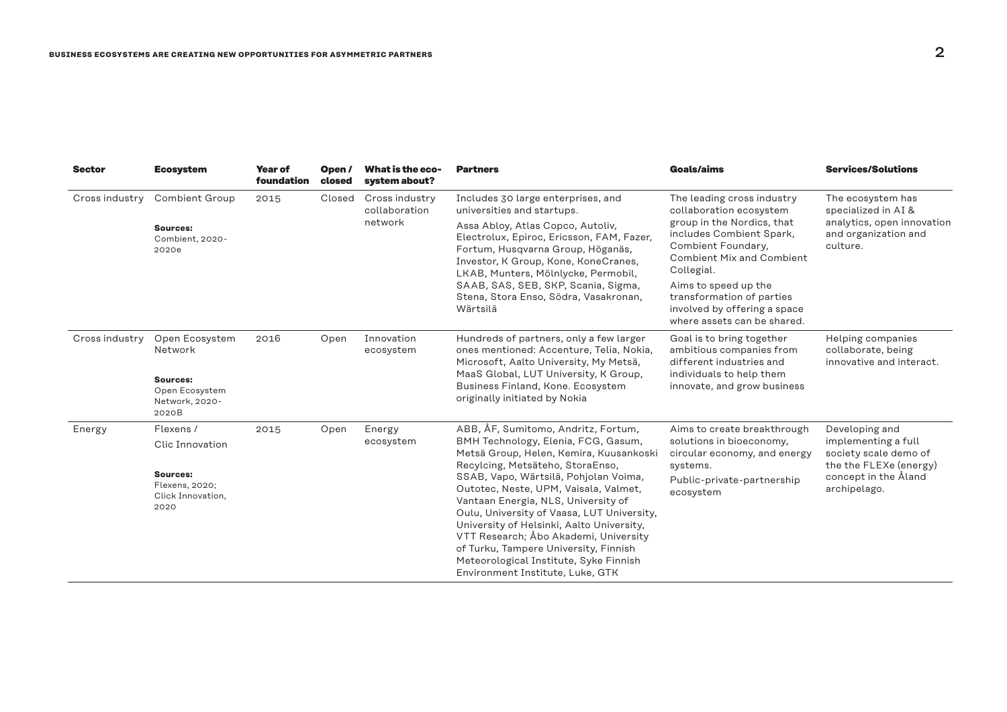| <b>Sector</b>  | <b>Ecosystem</b>                                               | <b>Year of</b><br>foundation | Open/<br>closed | What is the eco-<br>system about?          | <b>Partners</b>                                                                                                                                                                                                                                                                                                                                                                                                                                                                                        | Goals/aims                                                                                                                                   | <b>Services/Solutions</b>                                                                                                        |
|----------------|----------------------------------------------------------------|------------------------------|-----------------|--------------------------------------------|--------------------------------------------------------------------------------------------------------------------------------------------------------------------------------------------------------------------------------------------------------------------------------------------------------------------------------------------------------------------------------------------------------------------------------------------------------------------------------------------------------|----------------------------------------------------------------------------------------------------------------------------------------------|----------------------------------------------------------------------------------------------------------------------------------|
| Cross industry | <b>Combient Group</b>                                          | 2015                         | Closed          | Cross industry<br>collaboration<br>network | Includes 30 large enterprises, and<br>universities and startups.                                                                                                                                                                                                                                                                                                                                                                                                                                       | The leading cross industry<br>collaboration ecosystem                                                                                        | The ecosystem has<br>specialized in AI &<br>analytics, open innovation<br>and organization and<br>culture.                       |
|                | Sources:<br>Combient, 2020-<br>2020e                           |                              |                 |                                            | Assa Abloy, Atlas Copco, Autoliv,<br>Electrolux, Epiroc, Ericsson, FAM, Fazer,<br>Fortum, Husqvarna Group, Höganäs,<br>Investor, K Group, Kone, KoneCranes,<br>LKAB, Munters, Mölnlycke, Permobil,<br>SAAB, SAS, SEB, SKP, Scania, Sigma,<br>Stena, Stora Enso, Södra, Vasakronan,<br>Wärtsilä                                                                                                                                                                                                         | group in the Nordics, that<br>includes Combient Spark,<br>Combient Foundary,<br><b>Combient Mix and Combient</b><br>Collegial.               |                                                                                                                                  |
|                |                                                                |                              |                 |                                            |                                                                                                                                                                                                                                                                                                                                                                                                                                                                                                        | Aims to speed up the<br>transformation of parties<br>involved by offering a space<br>where assets can be shared.                             |                                                                                                                                  |
| Cross industry | Open Ecosystem<br>Network                                      | 2016                         | Open            | Innovation<br>ecosystem                    | Hundreds of partners, only a few larger<br>ones mentioned: Accenture, Telia, Nokia,<br>Microsoft, Aalto University, My Metsä,                                                                                                                                                                                                                                                                                                                                                                          | Goal is to bring together<br>ambitious companies from<br>different industries and<br>individuals to help them<br>innovate, and grow business | Helping companies<br>collaborate, being<br>innovative and interact.                                                              |
|                | Sources:<br>Open Ecosystem<br>Network, 2020-<br>2020B          |                              |                 |                                            | MaaS Global, LUT University, K Group,<br>Business Finland, Kone. Ecosystem<br>originally initiated by Nokia                                                                                                                                                                                                                                                                                                                                                                                            |                                                                                                                                              |                                                                                                                                  |
| Energy         | Flexens /                                                      | 2015                         | Open            | Energy                                     | ABB, ÅF, Sumitomo, Andritz, Fortum,                                                                                                                                                                                                                                                                                                                                                                                                                                                                    | Aims to create breakthrough<br>solutions in bioeconomy,<br>circular economy, and energy<br>systems.                                          | Developing and<br>implementing a full<br>society scale demo of<br>the the FLEXe (energy)<br>concept in the Åland<br>archipelago. |
|                | Clic Innovation                                                |                              |                 | ecosystem                                  | BMH Technology, Elenia, FCG, Gasum,<br>Metsä Group, Helen, Kemira, Kuusankoski<br>Recylcing, Metsäteho, StoraEnso,<br>SSAB, Vapo, Wärtsilä, Pohjolan Voima,<br>Outotec, Neste, UPM, Vaisala, Valmet,<br>Vantaan Energia, NLS, University of<br>Oulu, University of Vaasa, LUT University,<br>University of Helsinki, Aalto University,<br>VTT Research; Åbo Akademi, University<br>of Turku, Tampere University, Finnish<br>Meteorological Institute, Syke Finnish<br>Environment Institute, Luke, GTK |                                                                                                                                              |                                                                                                                                  |
|                | <b>Sources:</b><br>Flexens, 2020;<br>Click Innovation,<br>2020 |                              |                 |                                            |                                                                                                                                                                                                                                                                                                                                                                                                                                                                                                        | Public-private-partnership<br>ecosystem                                                                                                      |                                                                                                                                  |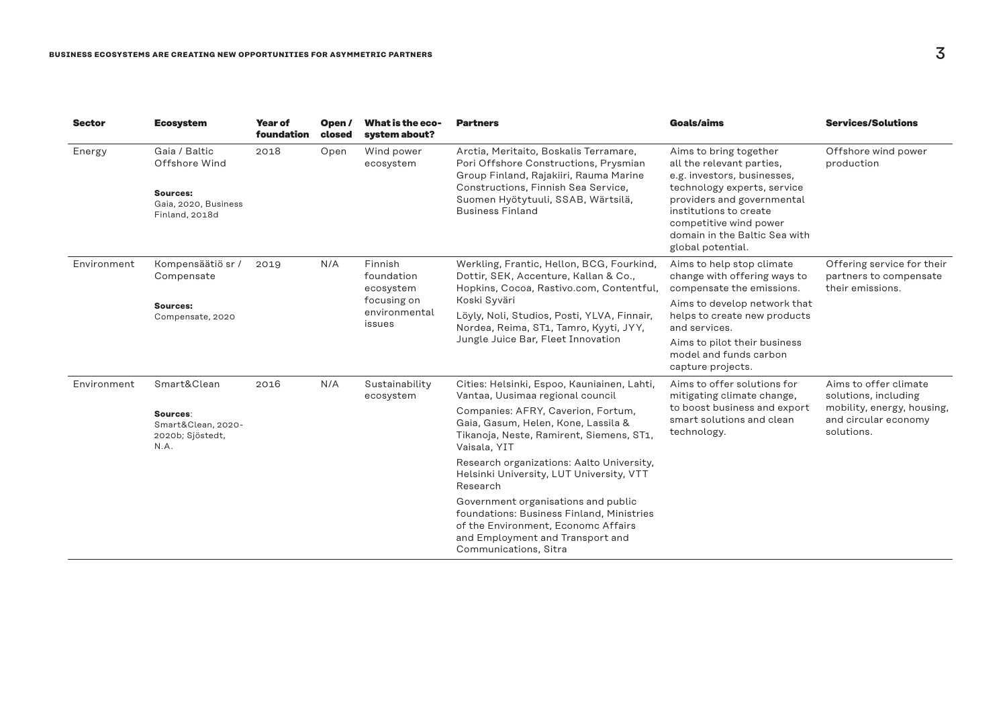| <b>Sector</b> | <b>Ecosystem</b>                                                                     | <b>Year of</b><br>foundation | Open /<br>closed | What is the eco-<br>system about?      | <b>Partners</b>                                                                                                                                                                                                                   | Goals/aims                                                                                                                                                                                                                                                | <b>Services/Solutions</b>                                                |
|---------------|--------------------------------------------------------------------------------------|------------------------------|------------------|----------------------------------------|-----------------------------------------------------------------------------------------------------------------------------------------------------------------------------------------------------------------------------------|-----------------------------------------------------------------------------------------------------------------------------------------------------------------------------------------------------------------------------------------------------------|--------------------------------------------------------------------------|
| Energy        | Gaia / Baltic<br>Offshore Wind<br>Sources:<br>Gaia, 2020, Business<br>Finland, 2018d | 2018                         | Open             | Wind power<br>ecosystem                | Arctia, Meritaito, Boskalis Terramare,<br>Pori Offshore Constructions, Prysmian<br>Group Finland, Rajakiiri, Rauma Marine<br>Constructions, Finnish Sea Service,<br>Suomen Hyötytuuli, SSAB, Wärtsilä,<br><b>Business Finland</b> | Aims to bring together<br>all the relevant parties,<br>e.g. investors, businesses,<br>technology experts, service<br>providers and governmental<br>institutions to create<br>competitive wind power<br>domain in the Baltic Sea with<br>global potential. | Offshore wind power<br>production                                        |
| Environment   | Kompensäätiö sr /<br>Compensate                                                      | 2019                         | N/A              | Finnish<br>foundation<br>ecosystem     | Werkling, Frantic, Hellon, BCG, Fourkind,<br>Dottir, SEK, Accenture, Kallan & Co.,<br>Hopkins, Cocoa, Rastivo.com, Contentful,                                                                                                    | Aims to help stop climate<br>change with offering ways to<br>compensate the emissions.                                                                                                                                                                    | Offering service for their<br>partners to compensate<br>their emissions. |
|               | Sources:<br>Compensate, 2020                                                         |                              |                  | focusing on<br>environmental<br>issues | Koski Syväri<br>Löyly, Noli, Studios, Posti, YLVA, Finnair,<br>Nordea, Reima, ST1, Tamro, Kyyti, JYY,<br>Jungle Juice Bar, Fleet Innovation                                                                                       | Aims to develop network that<br>helps to create new products<br>and services.                                                                                                                                                                             |                                                                          |
|               |                                                                                      |                              |                  |                                        |                                                                                                                                                                                                                                   | Aims to pilot their business<br>model and funds carbon<br>capture projects.                                                                                                                                                                               |                                                                          |
| Environment   | Smart&Clean                                                                          | 2016                         | N/A              | Sustainability<br>ecosystem            | Cities: Helsinki, Espoo, Kauniainen, Lahti,<br>Vantaa, Uusimaa regional council                                                                                                                                                   | Aims to offer solutions for<br>mitigating climate change,                                                                                                                                                                                                 | Aims to offer climate<br>solutions, including                            |
|               | Sources:<br>Smart&Clean, 2020-<br>2020b; Sjöstedt,<br>N.A.                           |                              |                  |                                        | Companies: AFRY, Caverion, Fortum,<br>Gaia, Gasum, Helen, Kone, Lassila &<br>Tikanoja, Neste, Ramirent, Siemens, ST1,<br>Vaisala, YIT                                                                                             | to boost business and export<br>smart solutions and clean<br>technology.                                                                                                                                                                                  | mobility, energy, housing,<br>and circular economy<br>solutions.         |
|               |                                                                                      |                              |                  |                                        | Research organizations: Aalto University,<br>Helsinki University, LUT University, VTT<br>Research                                                                                                                                 |                                                                                                                                                                                                                                                           |                                                                          |
|               |                                                                                      |                              |                  |                                        | Government organisations and public<br>foundations: Business Finland, Ministries<br>of the Environment, Economc Affairs<br>and Employment and Transport and<br>Communications, Sitra                                              |                                                                                                                                                                                                                                                           |                                                                          |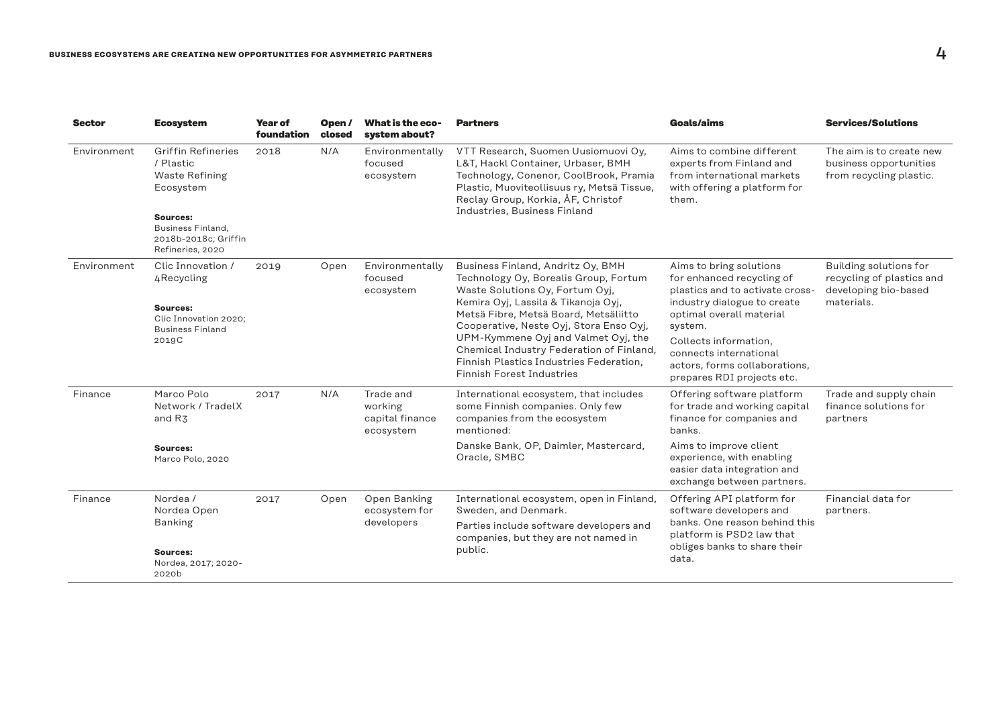| <b>Sector</b> | <b>Ecosystem</b>                                                                         | Year of<br>foundation | Open/<br>closed | What is the eco-<br>system about?                                                                                       | <b>Partners</b>                                                                                                                                                                                                                         | <b>Goals/aims</b>                                                                                                            | <b>Services/Solutions</b>                                                     |
|---------------|------------------------------------------------------------------------------------------|-----------------------|-----------------|-------------------------------------------------------------------------------------------------------------------------|-----------------------------------------------------------------------------------------------------------------------------------------------------------------------------------------------------------------------------------------|------------------------------------------------------------------------------------------------------------------------------|-------------------------------------------------------------------------------|
| Environment   | <b>Griffin Refineries</b><br>/ Plastic<br><b>Waste Refining</b><br>Ecosystem<br>Sources: | N/A<br>2018           |                 | Environmentally<br>focused<br>ecosystem                                                                                 | VTT Research, Suomen Uusiomuovi Oy,<br>L&T, Hackl Container, Urbaser, BMH<br>Technology, Conenor, CoolBrook, Pramia<br>Plastic, Muoviteollisuus ry, Metsä Tissue,<br>Reclay Group, Korkia, ÅF, Christof<br>Industries, Business Finland | Aims to combine different<br>experts from Finland and<br>from international markets<br>with offering a platform for<br>them. | The aim is to create new<br>business opportunities<br>from recycling plastic. |
|               | Business Finland.<br>2018b-2018c; Griffin<br>Refineries, 2020                            |                       |                 |                                                                                                                         |                                                                                                                                                                                                                                         |                                                                                                                              |                                                                               |
| Environment   | Clic Innovation /<br>4Recycling                                                          | 2019                  | Open            | Environmentally<br>focused<br>ecosystem                                                                                 | Business Finland, Andritz Oy, BMH<br>Technology Oy, Borealis Group, Fortum<br>Waste Solutions Oy, Fortum Oyj,                                                                                                                           | Aims to bring solutions<br>for enhanced recycling of<br>plastics and to activate cross-                                      | Building solutions for<br>recycling of plastics and<br>developing bio-based   |
|               | Sources:<br>Clic Innovation 2020:<br><b>Business Finland</b><br>2019C                    |                       |                 | Kemira Oyj, Lassila & Tikanoja Oyj,<br>Metsä Fibre, Metsä Board, Metsäliitto<br>Cooperative, Neste Oyj, Stora Enso Oyj, | industry dialogue to create<br>optimal overall material<br>system.                                                                                                                                                                      | materials.                                                                                                                   |                                                                               |
|               |                                                                                          |                       |                 |                                                                                                                         | UPM-Kymmene Oyj and Valmet Oyj, the<br>Chemical Industry Federation of Finland,<br>Finnish Plastics Industries Federation.<br><b>Finnish Forest Industries</b>                                                                          | Collects information,<br>connects international<br>actors, forms collaborations,<br>prepares RDI projects etc.               |                                                                               |
| Finance       | Marco Polo<br>Network / TradelX<br>and R <sub>3</sub>                                    | 2017                  | N/A             | Trade and<br>working<br>capital finance<br>ecosystem                                                                    | International ecosystem, that includes<br>some Finnish companies. Only few<br>companies from the ecosystem<br>mentioned:                                                                                                                | Offering software platform<br>for trade and working capital<br>finance for companies and<br>banks.                           | Trade and supply chain<br>finance solutions for<br>partners                   |
|               | Sources:<br>Marco Polo, 2020                                                             |                       |                 |                                                                                                                         | Danske Bank, OP, Daimler, Mastercard,<br>Oracle, SMBC                                                                                                                                                                                   | Aims to improve client<br>experience, with enabling<br>easier data integration and<br>exchange between partners.             |                                                                               |
| Finance       | Nordea /<br>Nordea Open                                                                  | 2017                  | Open            | Open Banking<br>ecosystem for                                                                                           | International ecosystem, open in Finland,<br>Sweden, and Denmark.                                                                                                                                                                       | Offering API platform for<br>software developers and                                                                         | Financial data for<br>partners.                                               |
|               | <b>Banking</b>                                                                           |                       |                 | developers                                                                                                              | Parties include software developers and<br>companies, but they are not named in<br>public.                                                                                                                                              | banks. One reason behind this<br>platform is PSD2 law that                                                                   |                                                                               |
|               | Sources:<br>Nordea, 2017; 2020-<br>2020b                                                 |                       |                 |                                                                                                                         |                                                                                                                                                                                                                                         | obliges banks to share their<br>data.                                                                                        |                                                                               |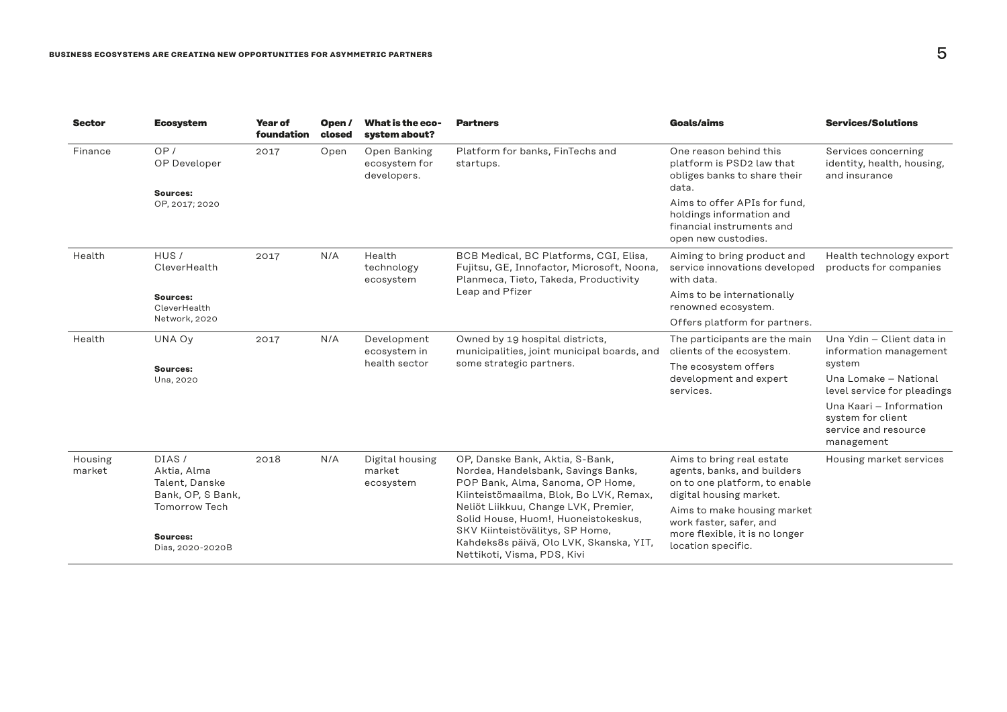| <b>Sector</b>     | <b>Ecosystem</b>                                            | Year of<br>foundation                                        | Open /<br>closed | What is the eco-<br>system about?            | <b>Partners</b>                                                                                                                                       | Goals/aims                                                                                                           | <b>Services/Solutions</b>                                                          |
|-------------------|-------------------------------------------------------------|--------------------------------------------------------------|------------------|----------------------------------------------|-------------------------------------------------------------------------------------------------------------------------------------------------------|----------------------------------------------------------------------------------------------------------------------|------------------------------------------------------------------------------------|
| Finance           | OP/<br>OP Developer                                         | 2017                                                         | Open             | Open Banking<br>ecosystem for<br>developers. | Platform for banks, FinTechs and<br>startups.                                                                                                         | One reason behind this<br>platform is PSD2 law that<br>obliges banks to share their<br>data.                         | Services concerning<br>identity, health, housing,<br>and insurance                 |
|                   | Sources:<br>OP, 2017; 2020                                  |                                                              |                  |                                              |                                                                                                                                                       | Aims to offer APIs for fund.<br>holdings information and<br>financial instruments and<br>open new custodies.         |                                                                                    |
| Health            | HUS/<br>CleverHealth                                        | 2017                                                         | N/A              | Health<br>technology<br>ecosystem            | BCB Medical, BC Platforms, CGI, Elisa,<br>Fujitsu, GE, Innofactor, Microsoft, Noona,<br>Planmeca, Tieto, Takeda, Productivity                         | Aiming to bring product and<br>service innovations developed<br>with data.                                           | Health technology export<br>products for companies                                 |
|                   | Sources:<br>CleverHealth                                    |                                                              |                  |                                              | Leap and Pfizer                                                                                                                                       | Aims to be internationally<br>renowned ecosystem.                                                                    |                                                                                    |
|                   | Network, 2020                                               |                                                              |                  |                                              |                                                                                                                                                       | Offers platform for partners.                                                                                        |                                                                                    |
| Health            | UNA Ov                                                      | 2017                                                         | N/A              | Development<br>ecosystem in                  | Owned by 19 hospital districts,<br>municipalities, joint municipal boards, and                                                                        | The participants are the main<br>clients of the ecosystem.                                                           | Una Ydin - Client data in<br>information management                                |
|                   | Sources:<br>Una, 2020                                       |                                                              |                  | health sector                                | some strategic partners.                                                                                                                              | The ecosystem offers                                                                                                 | system                                                                             |
|                   |                                                             |                                                              |                  |                                              |                                                                                                                                                       | development and expert<br>services.                                                                                  | Una Lomake - National<br>level service for pleadings                               |
|                   |                                                             |                                                              |                  |                                              |                                                                                                                                                       |                                                                                                                      | Una Kaari - Information<br>system for client<br>service and resource<br>management |
| Housing<br>market | DIAS/<br>Aktia, Alma<br>Talent, Danske<br>Bank, OP, S Bank, | 2018<br><b>Tomorrow Tech</b><br>Sources:<br>Dias, 2020-2020B | N/A              | Digital housing<br>market<br>ecosystem       | OP, Danske Bank, Aktia, S-Bank,<br>Nordea, Handelsbank, Savings Banks,<br>POP Bank, Alma, Sanoma, OP Home,<br>Kiinteistömaailma, Blok, Bo LVK, Remax, | Aims to bring real estate<br>agents, banks, and builders<br>on to one platform, to enable<br>digital housing market. | Housing market services                                                            |
|                   |                                                             |                                                              |                  |                                              | Neliöt Liikkuu, Change LVK, Premier,<br>Solid House, Huom!, Huoneistokeskus,<br>SKV Kiinteistövälitys, SP Home,                                       | Aims to make housing market<br>work faster, safer, and<br>more flexible, it is no longer                             |                                                                                    |
|                   |                                                             |                                                              |                  |                                              | Kahdeks8s päivä, Olo LVK, Skanska, YIT,<br>Nettikoti, Visma, PDS, Kivi                                                                                | location specific.                                                                                                   |                                                                                    |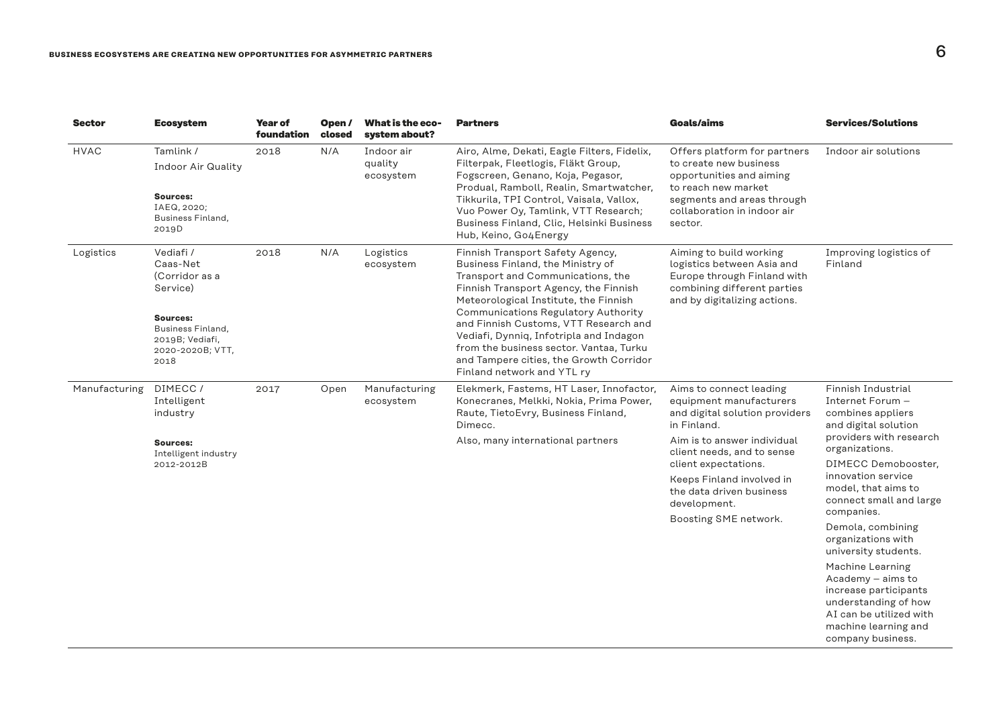| <b>Sector</b> | <b>Ecosystem</b>                                                                                                                    | <b>Year of</b><br>foundation | Open /<br>closed | <b>What is the eco-</b><br>system about? | <b>Partners</b>                                                                                                                                                                                                                                                                                                                                                                                                                             | <b>Goals/aims</b>                                                                                                                                                                                                                                                                          | <b>Services/Solutions</b>                                                                                                                                                                                                                                                                                                                                                                                                                                                          |
|---------------|-------------------------------------------------------------------------------------------------------------------------------------|------------------------------|------------------|------------------------------------------|---------------------------------------------------------------------------------------------------------------------------------------------------------------------------------------------------------------------------------------------------------------------------------------------------------------------------------------------------------------------------------------------------------------------------------------------|--------------------------------------------------------------------------------------------------------------------------------------------------------------------------------------------------------------------------------------------------------------------------------------------|------------------------------------------------------------------------------------------------------------------------------------------------------------------------------------------------------------------------------------------------------------------------------------------------------------------------------------------------------------------------------------------------------------------------------------------------------------------------------------|
| <b>HVAC</b>   | Tamlink /<br><b>Indoor Air Quality</b><br>Sources:<br>IAEQ, 2020;<br>Business Finland,<br>2019D                                     | 2018                         | N/A              | Indoor air<br>quality<br>ecosystem       | Airo, Alme, Dekati, Eagle Filters, Fidelix,<br>Filterpak, Fleetlogis, Fläkt Group,<br>Fogscreen, Genano, Koja, Pegasor,<br>Produal, Ramboll, Realin, Smartwatcher,<br>Tikkurila, TPI Control, Vaisala, Vallox,<br>Vuo Power Oy, Tamlink, VTT Research;<br>Business Finland, Clic, Helsinki Business<br>Hub, Keino, Go4Energy                                                                                                                | Offers platform for partners<br>to create new business<br>opportunities and aiming<br>to reach new market<br>segments and areas through<br>collaboration in indoor air<br>sector.                                                                                                          | Indoor air solutions                                                                                                                                                                                                                                                                                                                                                                                                                                                               |
| Logistics     | Vediafi /<br>Caas-Net<br>(Corridor as a<br>Service)<br>Sources:<br>Business Finland,<br>2019B; Vediafi,<br>2020-2020B; VTT,<br>2018 | 2018                         | N/A              | Logistics<br>ecosystem                   | Finnish Transport Safety Agency,<br>Business Finland, the Ministry of<br>Transport and Communications, the<br>Finnish Transport Agency, the Finnish<br>Meteorological Institute, the Finnish<br>Communications Regulatory Authority<br>and Finnish Customs, VTT Research and<br>Vediafi, Dynniq, Infotripla and Indagon<br>from the business sector. Vantaa, Turku<br>and Tampere cities, the Growth Corridor<br>Finland network and YTL ry | Aiming to build working<br>logistics between Asia and<br>Europe through Finland with<br>combining different parties<br>and by digitalizing actions.                                                                                                                                        | Improving logistics of<br>Finland                                                                                                                                                                                                                                                                                                                                                                                                                                                  |
| Manufacturing | DIMECC/<br>Intelligent<br>industry<br>Sources:<br>Intelligent industry<br>2012-2012B                                                | 2017                         | Open             | Manufacturing<br>ecosystem               | Elekmerk, Fastems, HT Laser, Innofactor,<br>Konecranes, Melkki, Nokia, Prima Power,<br>Raute, TietoEvry, Business Finland,<br>Dimecc.<br>Also, many international partners                                                                                                                                                                                                                                                                  | Aims to connect leading<br>equipment manufacturers<br>and digital solution providers<br>in Finland.<br>Aim is to answer individual<br>client needs, and to sense<br>client expectations.<br>Keeps Finland involved in<br>the data driven business<br>development.<br>Boosting SME network. | Finnish Industrial<br>Internet Forum -<br>combines appliers<br>and digital solution<br>providers with research<br>organizations.<br>DIMECC Demobooster,<br>innovation service<br>model, that aims to<br>connect small and large<br>companies.<br>Demola, combining<br>organizations with<br>university students.<br>Machine Learning<br>Academy - aims to<br>increase participants<br>understanding of how<br>AI can be utilized with<br>machine learning and<br>company business. |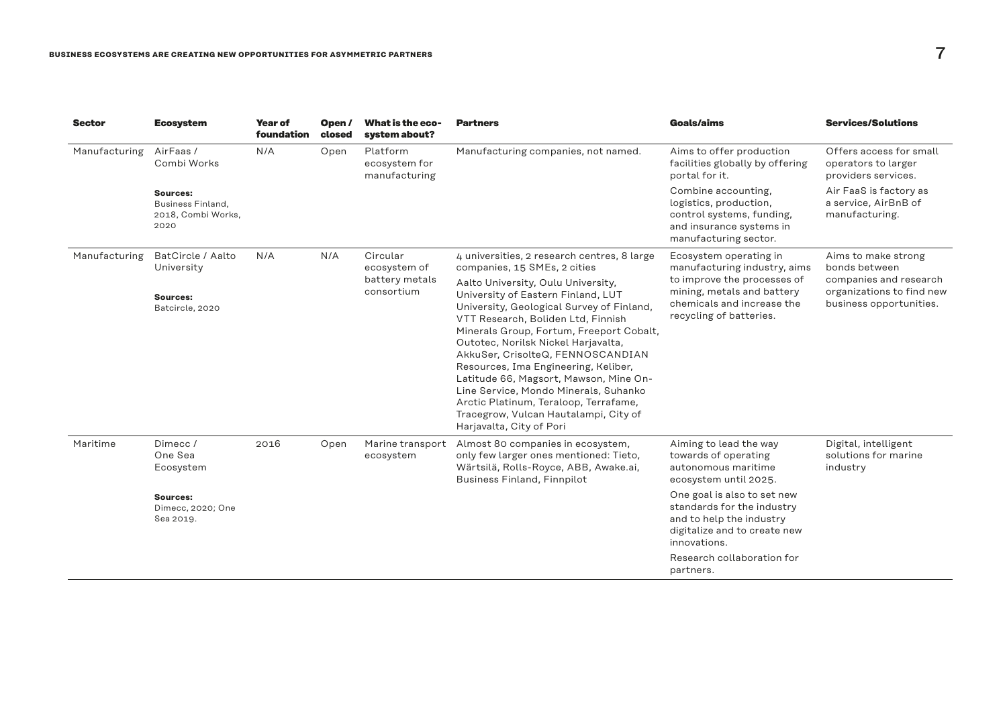| <b>Sector</b> | <b>Ecosystem</b>                                            | Year of<br>foundation | Open/<br>closed | What is the eco-<br>system about?          | <b>Partners</b>                                                                                                                                                                                                                                                                                                                                                                                                                                                                                                              | Goals/aims                                                                                                                      | <b>Services/Solutions</b>                                                      |
|---------------|-------------------------------------------------------------|-----------------------|-----------------|--------------------------------------------|------------------------------------------------------------------------------------------------------------------------------------------------------------------------------------------------------------------------------------------------------------------------------------------------------------------------------------------------------------------------------------------------------------------------------------------------------------------------------------------------------------------------------|---------------------------------------------------------------------------------------------------------------------------------|--------------------------------------------------------------------------------|
| Manufacturing | AirFaas/<br>Combi Works                                     | N/A                   | Open            | Platform<br>ecosystem for<br>manufacturing | Manufacturing companies, not named.                                                                                                                                                                                                                                                                                                                                                                                                                                                                                          | Aims to offer production<br>facilities globally by offering<br>portal for it.                                                   | Offers access for small<br>operators to larger<br>providers services.          |
|               | Sources:<br>Business Finland,<br>2018, Combi Works,<br>2020 |                       |                 |                                            |                                                                                                                                                                                                                                                                                                                                                                                                                                                                                                                              | Combine accounting,<br>logistics, production,<br>control systems, funding,<br>and insurance systems in<br>manufacturing sector. | Air FaaS is factory as<br>a service, AirBnB of<br>manufacturing.               |
| Manufacturing | BatCircle / Aalto<br>University                             | N/A                   | N/A             | Circular<br>ecosystem of                   | 4 universities, 2 research centres, 8 large<br>companies, 15 SMEs, 2 cities                                                                                                                                                                                                                                                                                                                                                                                                                                                  | Ecosystem operating in<br>manufacturing industry, aims                                                                          | Aims to make strong<br>bonds between                                           |
|               | Sources:<br>Batcircle, 2020                                 |                       |                 | battery metals<br>consortium               | Aalto University, Oulu University,<br>University of Eastern Finland, LUT<br>University, Geological Survey of Finland,<br>VTT Research, Boliden Ltd, Finnish<br>Minerals Group, Fortum, Freeport Cobalt,<br>Outotec, Norilsk Nickel Harjavalta,<br>AkkuSer, CrisolteQ, FENNOSCANDIAN<br>Resources, Ima Engineering, Keliber,<br>Latitude 66, Magsort, Mawson, Mine On-<br>Line Service, Mondo Minerals, Suhanko<br>Arctic Platinum, Teraloop, Terrafame,<br>Tracegrow, Vulcan Hautalampi, City of<br>Harjavalta, City of Pori | to improve the processes of<br>mining, metals and battery<br>chemicals and increase the<br>recycling of batteries.              | companies and research<br>organizations to find new<br>business opportunities. |
| Maritime      | Dimecc/<br>One Sea<br>Ecosystem                             | 2016                  | Open            | Marine transport<br>ecosystem              | Almost 80 companies in ecosystem,<br>only few larger ones mentioned: Tieto,<br>Wärtsilä, Rolls-Royce, ABB, Awake.ai,<br><b>Business Finland, Finnpilot</b>                                                                                                                                                                                                                                                                                                                                                                   | Aiming to lead the way<br>towards of operating<br>autonomous maritime<br>ecosystem until 2025.                                  | Digital, intelligent<br>solutions for marine<br>industry                       |
|               | Sources:<br>Dimecc, 2020; One<br>Sea 2019.                  |                       |                 |                                            | One goal is also to set new<br>standards for the industry<br>and to help the industry<br>digitalize and to create new<br>innovations.                                                                                                                                                                                                                                                                                                                                                                                        |                                                                                                                                 |                                                                                |
|               |                                                             |                       |                 |                                            |                                                                                                                                                                                                                                                                                                                                                                                                                                                                                                                              | Research collaboration for<br>partners.                                                                                         |                                                                                |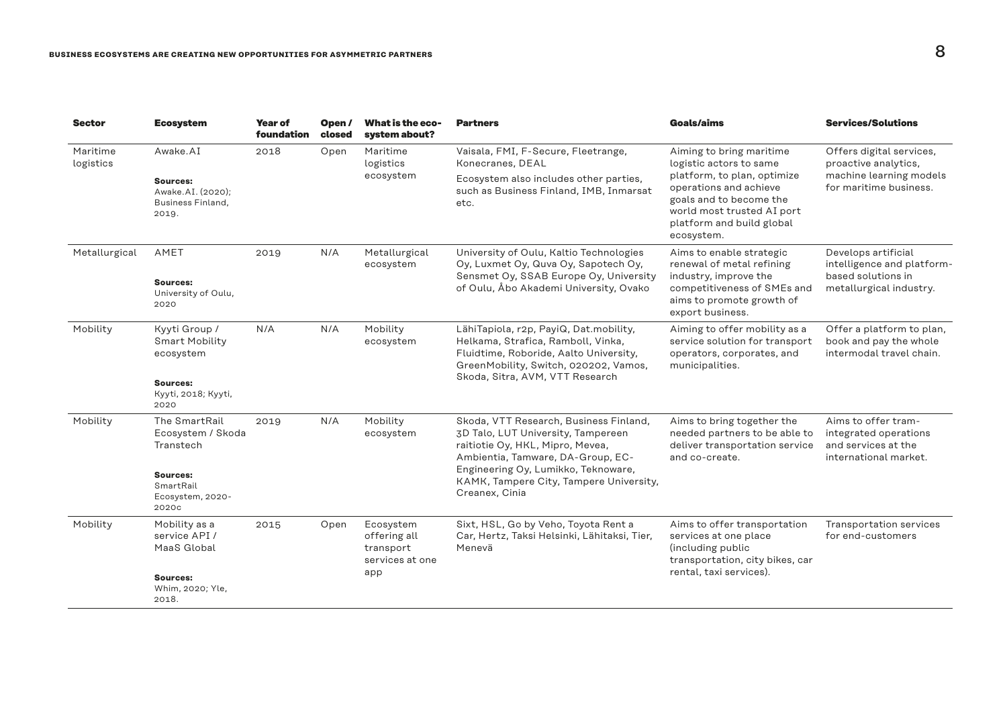| <b>Sector</b>         | <b>Ecosystem</b>                                                                                      | <b>Year of</b><br>foundation | Open/<br>closed | What is the eco-<br>system about?                                | <b>Partners</b>                                                                                                                                                                                                                                           | <b>Goals/aims</b>                                                                                                                                              | <b>Services/Solutions</b>                                                                             |
|-----------------------|-------------------------------------------------------------------------------------------------------|------------------------------|-----------------|------------------------------------------------------------------|-----------------------------------------------------------------------------------------------------------------------------------------------------------------------------------------------------------------------------------------------------------|----------------------------------------------------------------------------------------------------------------------------------------------------------------|-------------------------------------------------------------------------------------------------------|
| Maritime<br>logistics | Awake.AI                                                                                              | 2018                         | Open            | Maritime<br>logistics                                            | Vaisala, FMI, F-Secure, Fleetrange,<br>Konecranes, DEAL                                                                                                                                                                                                   | Aiming to bring maritime<br>logistic actors to same                                                                                                            | Offers digital services,<br>proactive analytics,<br>machine learning models<br>for maritime business. |
|                       | Sources:<br>Awake.AI. (2020);<br>Business Finland,<br>2019.                                           |                              |                 | ecosystem                                                        | Ecosystem also includes other parties,<br>such as Business Finland, IMB, Inmarsat<br>etc.                                                                                                                                                                 | platform, to plan, optimize<br>operations and achieve<br>goals and to become the<br>world most trusted AI port<br>platform and build global<br>ecosystem.      |                                                                                                       |
| Metallurgical         | AMET<br><b>Sources:</b><br>University of Oulu,<br>2020                                                | 2019                         | N/A             | Metallurgical<br>ecosystem                                       | University of Oulu, Kaltio Technologies<br>Oy, Luxmet Oy, Quva Oy, Sapotech Oy,<br>Sensmet Oy, SSAB Europe Oy, University<br>of Oulu, Åbo Akademi University, Ovako                                                                                       | Aims to enable strategic<br>renewal of metal refining<br>industry, improve the<br>competitiveness of SMEs and<br>aims to promote growth of<br>export business. | Develops artificial<br>intelligence and platform-<br>based solutions in<br>metallurgical industry.    |
| Mobility              | Kyyti Group /<br><b>Smart Mobility</b><br>ecosystem<br>Sources:<br>Kyyti, 2018; Kyyti,<br>2020        | N/A                          | N/A             | Mobility<br>ecosystem                                            | LähiTapiola, r2p, PayiQ, Dat.mobility,<br>Helkama, Strafica, Ramboll, Vinka,<br>Fluidtime, Roboride, Aalto University,<br>GreenMobility, Switch, 020202, Vamos,<br>Skoda, Sitra, AVM, VTT Research                                                        | Aiming to offer mobility as a<br>service solution for transport<br>operators, corporates, and<br>municipalities.                                               | Offer a platform to plan,<br>book and pay the whole<br>intermodal travel chain.                       |
| Mobility              | The SmartRail<br>Ecosystem / Skoda<br>Transtech<br>Sources:<br>SmartRail<br>Ecosystem, 2020-<br>2020c | 2019                         | N/A             | Mobility<br>ecosystem                                            | Skoda, VTT Research, Business Finland,<br>3D Talo, LUT University, Tampereen<br>raitiotie Oy, HKL, Mipro, Mevea,<br>Ambientia, Tamware, DA-Group, EC-<br>Engineering Oy, Lumikko, Teknoware,<br>KAMK, Tampere City, Tampere University,<br>Creanex, Cinia | Aims to bring together the<br>needed partners to be able to<br>deliver transportation service<br>and co-create.                                                | Aims to offer tram-<br>integrated operations<br>and services at the<br>international market.          |
| Mobility              | Mobility as a<br>service API /<br>MaaS Global<br>Sources:<br>Whim, 2020; Yle,<br>2018.                | 2015                         | Open            | Ecosystem<br>offering all<br>transport<br>services at one<br>app | Sixt, HSL, Go by Veho, Toyota Rent a<br>Car, Hertz, Taksi Helsinki, Lähitaksi, Tier,<br>Menevä                                                                                                                                                            | Aims to offer transportation<br>services at one place<br>(including public<br>transportation, city bikes, car<br>rental, taxi services).                       | Transportation services<br>for end-customers                                                          |